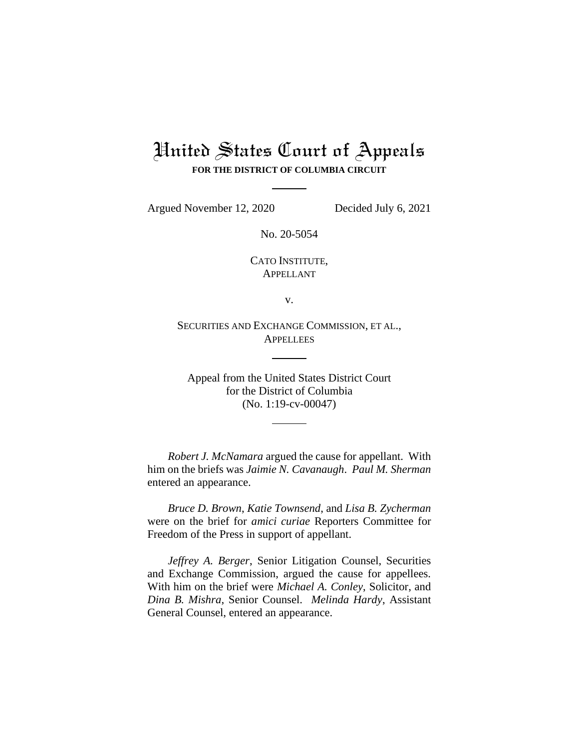## United States Court of Appeals **FOR THE DISTRICT OF COLUMBIA CIRCUIT**

Argued November 12, 2020 Decided July 6, 2021

No. 20-5054

CATO INSTITUTE, APPELLANT

v.

SECURITIES AND EXCHANGE COMMISSION, ET AL., **APPELLEES** 

Appeal from the United States District Court for the District of Columbia (No. 1:19-cv-00047)

*Robert J. McNamara* argued the cause for appellant. With him on the briefs was *Jaimie N. Cavanaugh*. *Paul M. Sherman* entered an appearance.

*Bruce D. Brown*, *Katie Townsend*, and *Lisa B. Zycherman* were on the brief for *amici curiae* Reporters Committee for Freedom of the Press in support of appellant.

*Jeffrey A. Berger*, Senior Litigation Counsel, Securities and Exchange Commission, argued the cause for appellees. With him on the brief were *Michael A. Conley*, Solicitor, and *Dina B. Mishra*, Senior Counsel. *Melinda Hardy*, Assistant General Counsel, entered an appearance.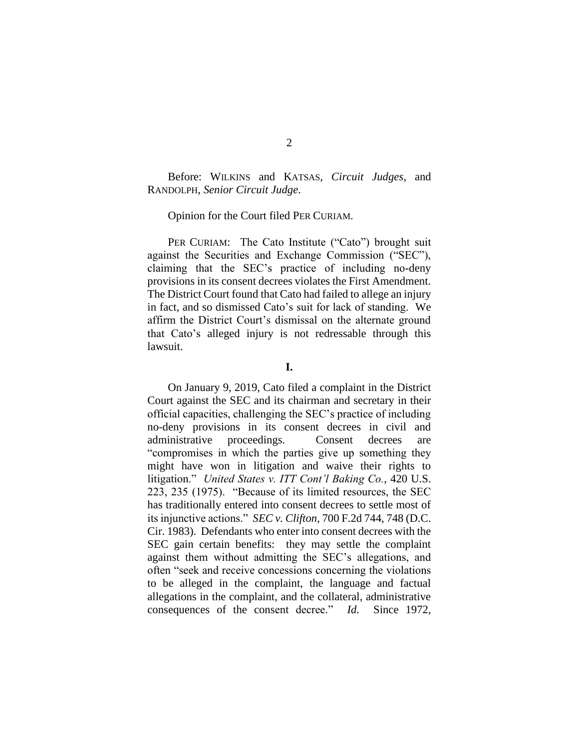Before: WILKINS and KATSAS, *Circuit Judges*, and RANDOLPH, *Senior Circuit Judge*.

## Opinion for the Court filed PER CURIAM.

PER CURIAM: The Cato Institute ("Cato") brought suit against the Securities and Exchange Commission ("SEC"), claiming that the SEC's practice of including no-deny provisions in its consent decrees violates the First Amendment. The District Court found that Cato had failed to allege an injury in fact, and so dismissed Cato's suit for lack of standing. We affirm the District Court's dismissal on the alternate ground that Cato's alleged injury is not redressable through this lawsuit.

On January 9, 2019, Cato filed a complaint in the District Court against the SEC and its chairman and secretary in their official capacities, challenging the SEC's practice of including no-deny provisions in its consent decrees in civil and administrative proceedings. Consent decrees are "compromises in which the parties give up something they might have won in litigation and waive their rights to litigation." *United States v. ITT Cont'l Baking Co.*, 420 U.S. 223, 235 (1975). "Because of its limited resources, the SEC has traditionally entered into consent decrees to settle most of its injunctive actions." *SEC v. Clifton*, 700 F.2d 744, 748 (D.C. Cir. 1983). Defendants who enter into consent decrees with the SEC gain certain benefits: they may settle the complaint against them without admitting the SEC's allegations, and often "seek and receive concessions concerning the violations to be alleged in the complaint, the language and factual allegations in the complaint, and the collateral, administrative consequences of the consent decree." *Id.* Since 1972,

**I.**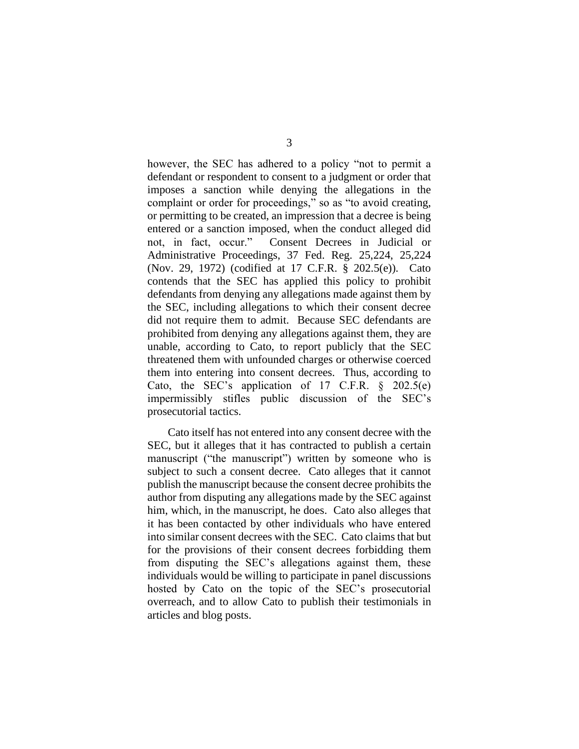however, the SEC has adhered to a policy "not to permit a defendant or respondent to consent to a judgment or order that imposes a sanction while denying the allegations in the complaint or order for proceedings," so as "to avoid creating, or permitting to be created, an impression that a decree is being entered or a sanction imposed, when the conduct alleged did not, in fact, occur." Consent Decrees in Judicial or Administrative Proceedings, 37 Fed. Reg. 25,224, 25,224 (Nov. 29, 1972) (codified at 17 C.F.R. § 202.5(e)). Cato contends that the SEC has applied this policy to prohibit defendants from denying any allegations made against them by the SEC, including allegations to which their consent decree did not require them to admit. Because SEC defendants are prohibited from denying any allegations against them, they are unable, according to Cato, to report publicly that the SEC threatened them with unfounded charges or otherwise coerced them into entering into consent decrees. Thus, according to Cato, the SEC's application of 17 C.F.R.  $\S$  202.5(e) impermissibly stifles public discussion of the SEC's prosecutorial tactics.

Cato itself has not entered into any consent decree with the SEC, but it alleges that it has contracted to publish a certain manuscript ("the manuscript") written by someone who is subject to such a consent decree. Cato alleges that it cannot publish the manuscript because the consent decree prohibits the author from disputing any allegations made by the SEC against him, which, in the manuscript, he does. Cato also alleges that it has been contacted by other individuals who have entered into similar consent decrees with the SEC. Cato claims that but for the provisions of their consent decrees forbidding them from disputing the SEC's allegations against them, these individuals would be willing to participate in panel discussions hosted by Cato on the topic of the SEC's prosecutorial overreach, and to allow Cato to publish their testimonials in articles and blog posts.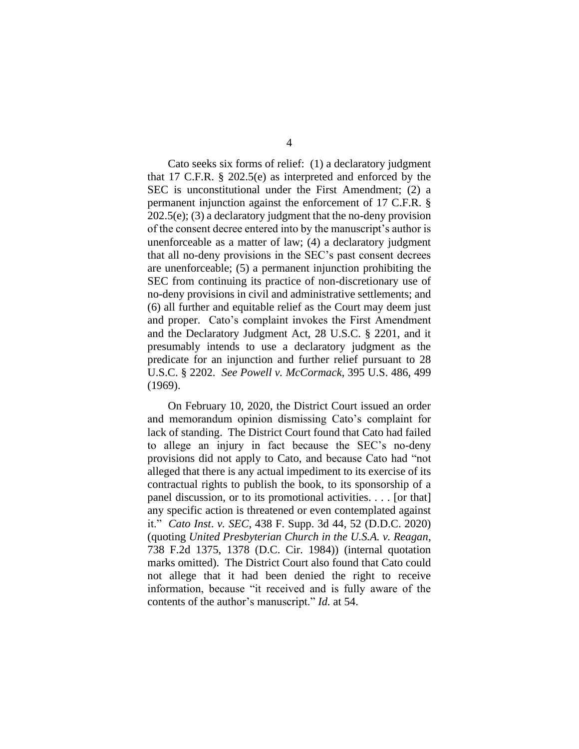Cato seeks six forms of relief: (1) a declaratory judgment that 17 C.F.R. § 202.5(e) as interpreted and enforced by the SEC is unconstitutional under the First Amendment; (2) a permanent injunction against the enforcement of 17 C.F.R. § 202.5(e); (3) a declaratory judgment that the no-deny provision of the consent decree entered into by the manuscript's author is unenforceable as a matter of law; (4) a declaratory judgment that all no-deny provisions in the SEC's past consent decrees are unenforceable; (5) a permanent injunction prohibiting the SEC from continuing its practice of non-discretionary use of no-deny provisions in civil and administrative settlements; and (6) all further and equitable relief as the Court may deem just and proper. Cato's complaint invokes the First Amendment and the Declaratory Judgment Act, 28 U.S.C. § 2201, and it presumably intends to use a declaratory judgment as the predicate for an injunction and further relief pursuant to 28 U.S.C. § 2202. *See Powell v. McCormack*, 395 U.S. 486, 499 (1969).

On February 10, 2020, the District Court issued an order and memorandum opinion dismissing Cato's complaint for lack of standing. The District Court found that Cato had failed to allege an injury in fact because the SEC's no-deny provisions did not apply to Cato, and because Cato had "not alleged that there is any actual impediment to its exercise of its contractual rights to publish the book, to its sponsorship of a panel discussion, or to its promotional activities. . . . [or that] any specific action is threatened or even contemplated against it." *Cato Inst*. *v. SEC*, 438 F. Supp. 3d 44, 52 (D.D.C. 2020) (quoting *United Presbyterian Church in the U.S.A. v. Reagan*, 738 F.2d 1375, 1378 (D.C. Cir. 1984)) (internal quotation marks omitted). The District Court also found that Cato could not allege that it had been denied the right to receive information, because "it received and is fully aware of the contents of the author's manuscript." *Id.* at 54.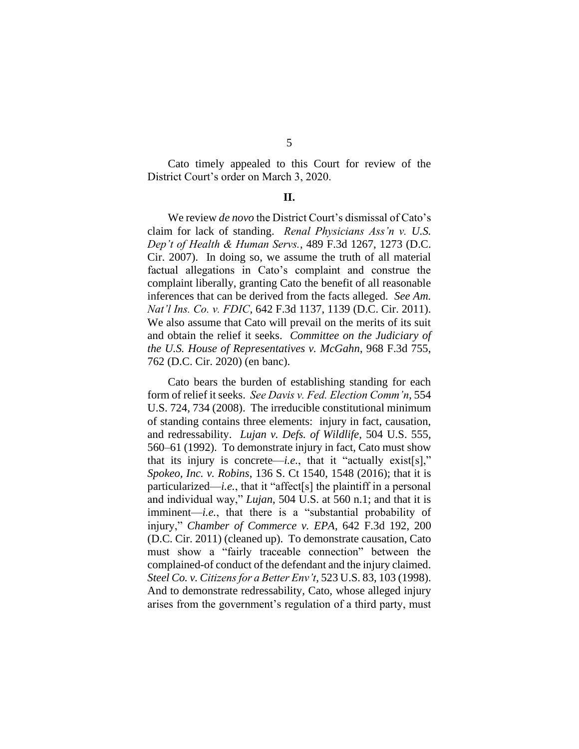Cato timely appealed to this Court for review of the District Court's order on March 3, 2020.

## **II.**

We review *de novo* the District Court's dismissal of Cato's claim for lack of standing. *Renal Physicians Ass'n v. U.S. Dep't of Health & Human Servs.*, 489 F.3d 1267, 1273 (D.C. Cir. 2007). In doing so, we assume the truth of all material factual allegations in Cato's complaint and construe the complaint liberally, granting Cato the benefit of all reasonable inferences that can be derived from the facts alleged. *See Am. Nat'l Ins. Co. v. FDIC*, 642 F.3d 1137, 1139 (D.C. Cir. 2011). We also assume that Cato will prevail on the merits of its suit and obtain the relief it seeks. *Committee on the Judiciary of the U.S. House of Representatives v. McGahn*, 968 F.3d 755, 762 (D.C. Cir. 2020) (en banc).

Cato bears the burden of establishing standing for each form of relief it seeks. *See Davis v. Fed. Election Comm'n*, 554 U.S. 724, 734 (2008). The irreducible constitutional minimum of standing contains three elements: injury in fact, causation, and redressability. *Lujan v. Defs. of Wildlife*, 504 U.S. 555, 560–61 (1992). To demonstrate injury in fact, Cato must show that its injury is concrete—*i.e.*, that it "actually exist[s]," *Spokeo, Inc. v. Robins*, 136 S. Ct 1540, 1548 (2016); that it is particularized—*i.e.*, that it "affect[s] the plaintiff in a personal and individual way," *Lujan*, 504 U.S. at 560 n.1; and that it is imminent—*i.e.*, that there is a "substantial probability of injury," *Chamber of Commerce v. EPA*, 642 F.3d 192, 200 (D.C. Cir. 2011) (cleaned up). To demonstrate causation, Cato must show a "fairly traceable connection" between the complained-of conduct of the defendant and the injury claimed. *Steel Co. v. Citizens for a Better Env't*, 523 U.S. 83, 103 (1998). And to demonstrate redressability, Cato, whose alleged injury arises from the government's regulation of a third party, must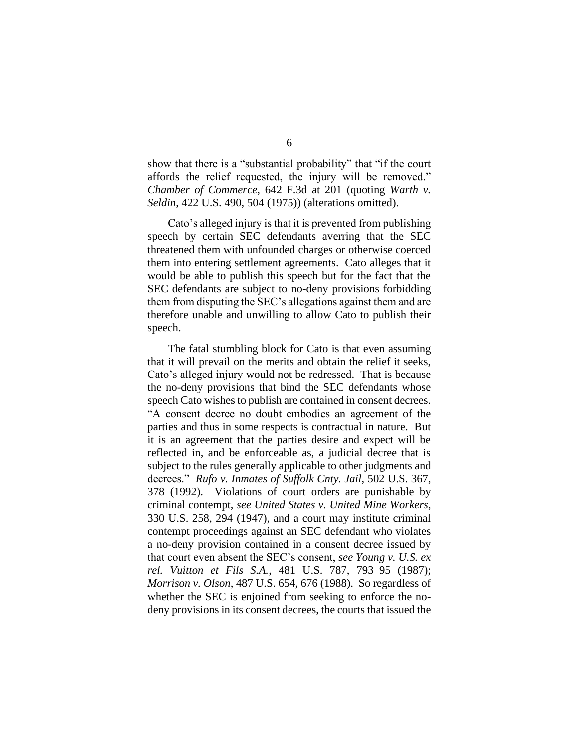show that there is a "substantial probability" that "if the court affords the relief requested, the injury will be removed." *Chamber of Commerce*, 642 F.3d at 201 (quoting *Warth v. Seldin*, 422 U.S. 490, 504 (1975)) (alterations omitted).

Cato's alleged injury is that it is prevented from publishing speech by certain SEC defendants averring that the SEC threatened them with unfounded charges or otherwise coerced them into entering settlement agreements. Cato alleges that it would be able to publish this speech but for the fact that the SEC defendants are subject to no-deny provisions forbidding them from disputing the SEC's allegations against them and are therefore unable and unwilling to allow Cato to publish their speech.

The fatal stumbling block for Cato is that even assuming that it will prevail on the merits and obtain the relief it seeks, Cato's alleged injury would not be redressed. That is because the no-deny provisions that bind the SEC defendants whose speech Cato wishes to publish are contained in consent decrees. "A consent decree no doubt embodies an agreement of the parties and thus in some respects is contractual in nature. But it is an agreement that the parties desire and expect will be reflected in, and be enforceable as, a judicial decree that is subject to the rules generally applicable to other judgments and decrees." *Rufo v. Inmates of Suffolk Cnty. Jail*, 502 U.S. 367, 378 (1992). Violations of court orders are punishable by criminal contempt, *see United States v. United Mine Workers*, 330 U.S. 258, 294 (1947), and a court may institute criminal contempt proceedings against an SEC defendant who violates a no-deny provision contained in a consent decree issued by that court even absent the SEC's consent, *see Young v. U.S. ex rel. Vuitton et Fils S.A.*, 481 U.S. 787, 793–95 (1987); *Morrison v. Olson*, 487 U.S. 654, 676 (1988). So regardless of whether the SEC is enjoined from seeking to enforce the nodeny provisions in its consent decrees, the courts that issued the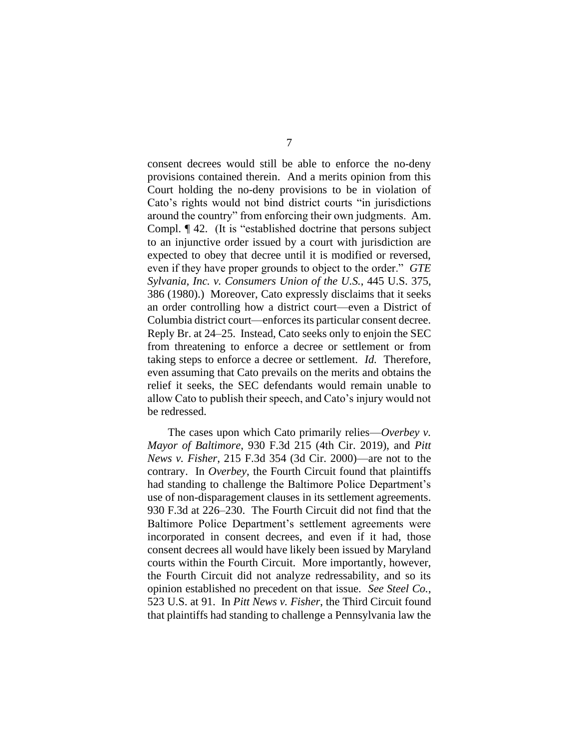consent decrees would still be able to enforce the no-deny provisions contained therein. And a merits opinion from this Court holding the no-deny provisions to be in violation of Cato's rights would not bind district courts "in jurisdictions around the country" from enforcing their own judgments. Am. Compl. ¶ 42. (It is "established doctrine that persons subject to an injunctive order issued by a court with jurisdiction are expected to obey that decree until it is modified or reversed, even if they have proper grounds to object to the order." *GTE Sylvania, Inc. v. Consumers Union of the U.S.*, 445 U.S. 375, 386 (1980).) Moreover, Cato expressly disclaims that it seeks an order controlling how a district court—even a District of Columbia district court—enforces its particular consent decree. Reply Br. at 24–25. Instead, Cato seeks only to enjoin the SEC from threatening to enforce a decree or settlement or from taking steps to enforce a decree or settlement. *Id.* Therefore, even assuming that Cato prevails on the merits and obtains the relief it seeks, the SEC defendants would remain unable to allow Cato to publish their speech, and Cato's injury would not be redressed.

The cases upon which Cato primarily relies—*Overbey v. Mayor of Baltimore*, 930 F.3d 215 (4th Cir. 2019), and *Pitt News v. Fisher*, 215 F.3d 354 (3d Cir. 2000)—are not to the contrary. In *Overbey*, the Fourth Circuit found that plaintiffs had standing to challenge the Baltimore Police Department's use of non-disparagement clauses in its settlement agreements. 930 F.3d at 226–230. The Fourth Circuit did not find that the Baltimore Police Department's settlement agreements were incorporated in consent decrees, and even if it had, those consent decrees all would have likely been issued by Maryland courts within the Fourth Circuit. More importantly, however, the Fourth Circuit did not analyze redressability, and so its opinion established no precedent on that issue. *See Steel Co.*, 523 U.S. at 91. In *Pitt News v. Fisher*, the Third Circuit found that plaintiffs had standing to challenge a Pennsylvania law the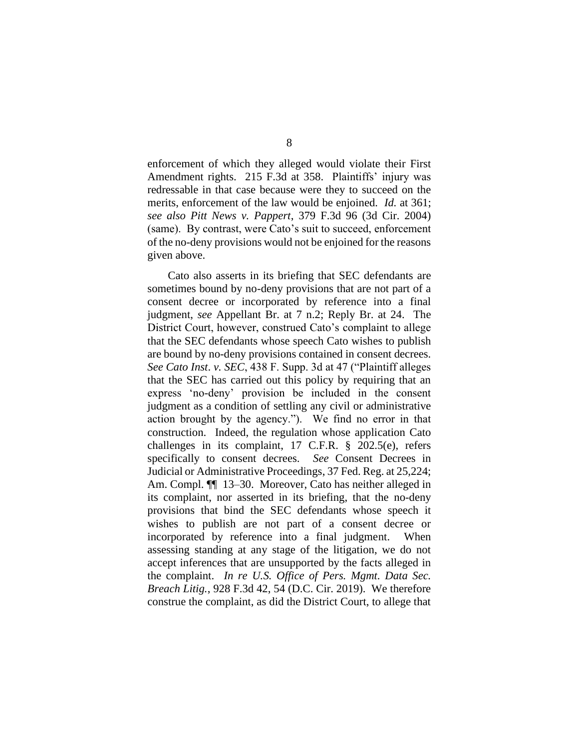enforcement of which they alleged would violate their First Amendment rights. 215 F.3d at 358. Plaintiffs' injury was redressable in that case because were they to succeed on the merits, enforcement of the law would be enjoined. *Id.* at 361; *see also Pitt News v. Pappert*, 379 F.3d 96 (3d Cir. 2004) (same). By contrast, were Cato's suit to succeed, enforcement of the no-deny provisions would not be enjoined for the reasons given above.

Cato also asserts in its briefing that SEC defendants are sometimes bound by no-deny provisions that are not part of a consent decree or incorporated by reference into a final judgment, *see* Appellant Br. at 7 n.2; Reply Br. at 24. The District Court, however, construed Cato's complaint to allege that the SEC defendants whose speech Cato wishes to publish are bound by no-deny provisions contained in consent decrees. *See Cato Inst*. *v. SEC*, 438 F. Supp. 3d at 47 ("Plaintiff alleges that the SEC has carried out this policy by requiring that an express 'no-deny' provision be included in the consent judgment as a condition of settling any civil or administrative action brought by the agency."). We find no error in that construction. Indeed, the regulation whose application Cato challenges in its complaint, 17 C.F.R. § 202.5(e), refers specifically to consent decrees. *See* Consent Decrees in Judicial or Administrative Proceedings, 37 Fed. Reg. at 25,224; Am. Compl.  $\P$  13–30. Moreover, Cato has neither alleged in its complaint, nor asserted in its briefing, that the no-deny provisions that bind the SEC defendants whose speech it wishes to publish are not part of a consent decree or incorporated by reference into a final judgment. When assessing standing at any stage of the litigation, we do not accept inferences that are unsupported by the facts alleged in the complaint. *In re U.S. Office of Pers. Mgmt. Data Sec. Breach Litig.*, 928 F.3d 42, 54 (D.C. Cir. 2019). We therefore construe the complaint, as did the District Court, to allege that